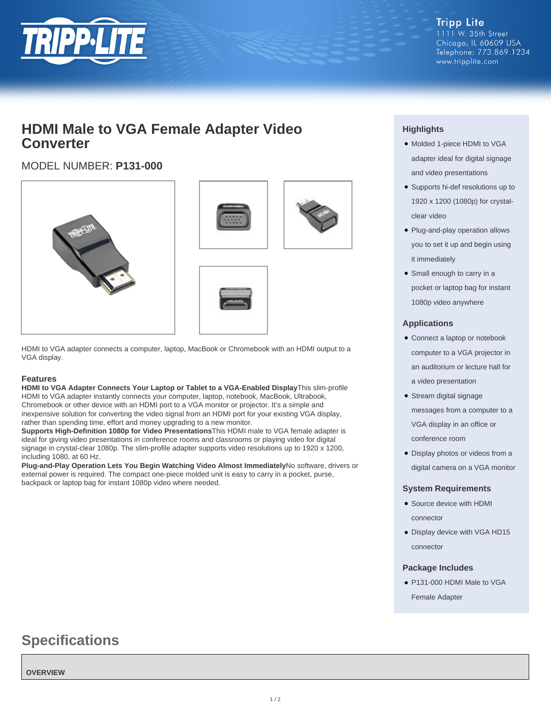

**Tripp Lite** 1111 W. 35th Street Chicago, IL 60609 USA Telephone: 773.869.1234 www.tripplite.com

# **HDMI Male to VGA Female Adapter Video Converter**

## MODEL NUMBER: **P131-000**







HDMI to VGA adapter connects a computer, laptop, MacBook or Chromebook with an HDMI output to a VGA display.

#### **Features**

**HDMI to VGA Adapter Connects Your Laptop or Tablet to a VGA-Enabled Display**This slim-profile HDMI to VGA adapter instantly connects your computer, laptop, notebook, MacBook, Ultrabook, Chromebook or other device with an HDMI port to a VGA monitor or projector. It's a simple and inexpensive solution for converting the video signal from an HDMI port for your existing VGA display, rather than spending time, effort and money upgrading to a new monitor.

**Supports High-Definition 1080p for Video Presentations**This HDMI male to VGA female adapter is ideal for giving video presentations in conference rooms and classrooms or playing video for digital signage in crystal-clear 1080p. The slim-profile adapter supports video resolutions up to 1920 x 1200, including 1080, at 60 Hz.

**Plug-and-Play Operation Lets You Begin Watching Video Almost Immediately**No software, drivers or external power is required. The compact one-piece molded unit is easy to carry in a pocket, purse, backpack or laptop bag for instant 1080p video where needed.

### **Highlights**

- Molded 1-piece HDMI to VGA adapter ideal for digital signage and video presentations
- Supports hi-def resolutions up to 1920 x 1200 (1080p) for crystalclear video
- Plug-and-play operation allows you to set it up and begin using it immediately
- Small enough to carry in a pocket or laptop bag for instant 1080p video anywhere

#### **Applications**

- Connect a laptop or notebook computer to a VGA projector in an auditorium or lecture hall for a video presentation
- Stream digital signage messages from a computer to a VGA display in an office or conference room
- Display photos or videos from a digital camera on a VGA monitor

#### **System Requirements**

- Source device with HDMI connector
- Display device with VGA HD15 connector

#### **Package Includes**

● P131-000 HDMI Male to VGA Female Adapter

# **Specifications**

#### **OVERVIEW**